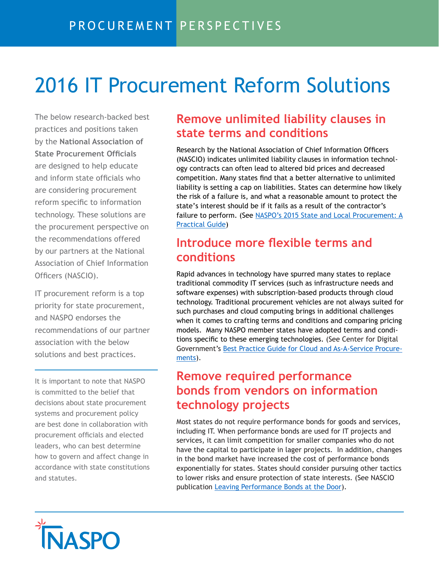# 2016 IT Procurement Reform Solutions

The below research-backed best practices and positions taken by the **National Association of State Procurement Officials**  are designed to help educate and inform state officials who are considering procurement reform specific to information technology. These solutions are the procurement perspective on the recommendations offered by our partners at the National Association of Chief Information Officers (NASCIO).

IT procurement reform is a top priority for state procurement, and NASPO endorses the recommendations of our partner association with the below solutions and best practices.

It is important to note that NASPO is committed to the belief that decisions about state procurement systems and procurement policy are best done in collaboration with procurement officials and elected leaders, who can best determine how to govern and affect change in accordance with state constitutions and statutes.

### **Remove unlimited liability clauses in state terms and conditions**

Research by the National Association of Chief Information Officers (nAscio) indicates unlimited liability clauses in information technology contracts can often lead to altered bid prices and decreased competition. Many states find that a better alternative to unlimited liability is setting a cap on liabilities. states can determine how likely the risk of a failure is, and what a reasonable amount to protect the state's interest should be if it fails as a result of the contractor's failure to perform. (See NASPO's 2015 State and Local Procurement: A [Practi](http://www.naspo.org/dnn/Research-Publications/Practical-Guide)cal Guide)

## **Introduce more flexible terms and conditions**

Rapid advances in technology have spurred many states to replace traditional commodity IT services (such as infrastructure needs and software expenses) with subscription-based products through cloud technology. Traditional procurement vehicles are not always suited for such purchases and cloud computing brings in additional challenges when it comes to crafting terms and conditions and comparing pricing models. Many NASPO member states have adopted terms and conditions specific to these emerging technologies. (See Center for Digital Government's Best Practice Guide for Cloud and As-A-Service Procurements).

## **Remove required performance bonds from vendors on information technology projects**

Most states do not require performance bonds for goods and services, including IT. When performance bonds are used for IT projects and services, it can limit competition for smaller companies who do not have the capital to participate in lager projects. In addition, changes in the bond market have increased the cost of performance bonds exponentially for states. states should consider pursuing other tactics to lower risks and ensure protection of state interests. (see nAscio publication [Leaving Performance Bonds at the Door](http://www.nascio.org/Publications/ArtMID/485/ArticleID/164/Leaving-Performance-Bonds-at-the-Door-for-Improved-IT-Procurement)).